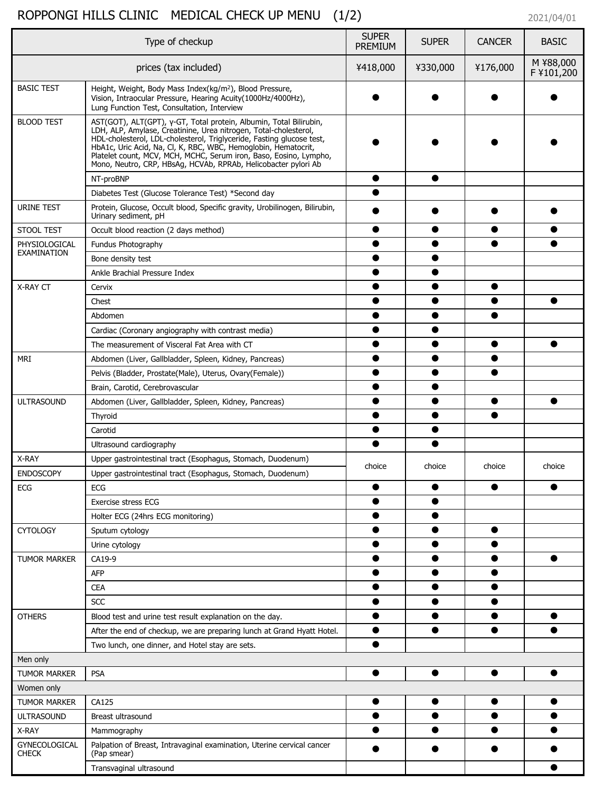## ROPPONGI HILLS CLINIC MEDICAL CHECK UP MENU (1/2) 2021/04/01

| Type of checkup                      |                                                                                                                                                                                                                                                                                                                                                                                                                          |        | <b>SUPER</b> | <b>CANCER</b> | <b>BASIC</b>            |
|--------------------------------------|--------------------------------------------------------------------------------------------------------------------------------------------------------------------------------------------------------------------------------------------------------------------------------------------------------------------------------------------------------------------------------------------------------------------------|--------|--------------|---------------|-------------------------|
| prices (tax included)                |                                                                                                                                                                                                                                                                                                                                                                                                                          |        | ¥330,000     | ¥176,000      | M ¥88,000<br>F ¥101,200 |
| <b>BASIC TEST</b>                    | Height, Weight, Body Mass Index(kg/m <sup>2</sup> ), Blood Pressure,<br>Vision, Intraocular Pressure, Hearing Acuity(1000Hz/4000Hz),<br>Lung Function Test, Consultation, Interview                                                                                                                                                                                                                                      |        |              |               |                         |
| <b>BLOOD TEST</b>                    | AST(GOT), ALT(GPT), γ-GT, Total protein, Albumin, Total Bilirubin,<br>LDH, ALP, Amylase, Creatinine, Urea nitrogen, Total-cholesterol,<br>HDL-cholesterol, LDL-cholesterol, Triglyceride, Fasting glucose test,<br>HbA1c, Uric Acid, Na, Cl, K, RBC, WBC, Hemoglobin, Hematocrit,<br>Platelet count, MCV, MCH, MCHC, Serum iron, Baso, Eosino, Lympho,<br>Mono, Neutro, CRP, HBsAg, HCVAb, RPRAb, Helicobacter pylori Ab |        |              |               |                         |
|                                      | NT-proBNP                                                                                                                                                                                                                                                                                                                                                                                                                |        |              |               |                         |
|                                      | Diabetes Test (Glucose Tolerance Test) *Second day                                                                                                                                                                                                                                                                                                                                                                       |        |              |               |                         |
| <b>URINE TEST</b>                    | Protein, Glucose, Occult blood, Specific gravity, Urobilinogen, Bilirubin,<br>Urinary sediment, pH                                                                                                                                                                                                                                                                                                                       |        |              |               |                         |
| <b>STOOL TEST</b>                    | Occult blood reaction (2 days method)                                                                                                                                                                                                                                                                                                                                                                                    |        |              |               |                         |
| PHYSIOLOGICAL                        | Fundus Photography                                                                                                                                                                                                                                                                                                                                                                                                       |        |              |               |                         |
| <b>EXAMINATION</b>                   | Bone density test                                                                                                                                                                                                                                                                                                                                                                                                        |        |              |               |                         |
|                                      | Ankle Brachial Pressure Index                                                                                                                                                                                                                                                                                                                                                                                            |        |              |               |                         |
| <b>X-RAY CT</b>                      | Cervix                                                                                                                                                                                                                                                                                                                                                                                                                   |        |              |               |                         |
|                                      | Chest                                                                                                                                                                                                                                                                                                                                                                                                                    |        |              |               |                         |
|                                      | Abdomen                                                                                                                                                                                                                                                                                                                                                                                                                  |        |              |               |                         |
|                                      | Cardiac (Coronary angiography with contrast media)                                                                                                                                                                                                                                                                                                                                                                       |        |              |               |                         |
|                                      | The measurement of Visceral Fat Area with CT                                                                                                                                                                                                                                                                                                                                                                             |        |              |               |                         |
| <b>MRI</b>                           | Abdomen (Liver, Gallbladder, Spleen, Kidney, Pancreas)                                                                                                                                                                                                                                                                                                                                                                   |        |              |               |                         |
|                                      | Pelvis (Bladder, Prostate(Male), Uterus, Ovary(Female))                                                                                                                                                                                                                                                                                                                                                                  |        |              |               |                         |
|                                      | Brain, Carotid, Cerebrovascular                                                                                                                                                                                                                                                                                                                                                                                          |        |              |               |                         |
| <b>ULTRASOUND</b>                    | Abdomen (Liver, Gallbladder, Spleen, Kidney, Pancreas)                                                                                                                                                                                                                                                                                                                                                                   |        |              |               |                         |
|                                      | Thyroid                                                                                                                                                                                                                                                                                                                                                                                                                  |        |              |               |                         |
|                                      | Carotid                                                                                                                                                                                                                                                                                                                                                                                                                  |        |              |               |                         |
|                                      | Ultrasound cardiography                                                                                                                                                                                                                                                                                                                                                                                                  |        |              |               |                         |
| X-RAY                                | Upper gastrointestinal tract (Esophagus, Stomach, Duodenum)                                                                                                                                                                                                                                                                                                                                                              |        |              |               |                         |
| <b>ENDOSCOPY</b>                     | Upper gastrointestinal tract (Esophagus, Stomach, Duodenum)                                                                                                                                                                                                                                                                                                                                                              | choice | choice       | choice        | choice                  |
| <b>ECG</b>                           | <b>ECG</b>                                                                                                                                                                                                                                                                                                                                                                                                               |        |              |               |                         |
|                                      | <b>Exercise stress ECG</b>                                                                                                                                                                                                                                                                                                                                                                                               |        |              |               |                         |
|                                      | Holter ECG (24hrs ECG monitoring)                                                                                                                                                                                                                                                                                                                                                                                        |        |              |               |                         |
| <b>CYTOLOGY</b>                      | Sputum cytology                                                                                                                                                                                                                                                                                                                                                                                                          |        |              |               |                         |
|                                      | Urine cytology                                                                                                                                                                                                                                                                                                                                                                                                           |        |              |               |                         |
| <b>TUMOR MARKER</b>                  | CA19-9                                                                                                                                                                                                                                                                                                                                                                                                                   |        |              |               |                         |
|                                      | <b>AFP</b>                                                                                                                                                                                                                                                                                                                                                                                                               |        |              |               |                         |
|                                      | <b>CEA</b>                                                                                                                                                                                                                                                                                                                                                                                                               |        |              |               |                         |
|                                      | <b>SCC</b>                                                                                                                                                                                                                                                                                                                                                                                                               |        |              |               |                         |
| <b>OTHERS</b>                        | Blood test and urine test result explanation on the day.                                                                                                                                                                                                                                                                                                                                                                 |        |              |               |                         |
|                                      | After the end of checkup, we are preparing lunch at Grand Hyatt Hotel.                                                                                                                                                                                                                                                                                                                                                   |        |              |               |                         |
|                                      | Two lunch, one dinner, and Hotel stay are sets.                                                                                                                                                                                                                                                                                                                                                                          |        |              |               |                         |
| Men only                             |                                                                                                                                                                                                                                                                                                                                                                                                                          |        |              |               |                         |
| <b>TUMOR MARKER</b>                  | <b>PSA</b>                                                                                                                                                                                                                                                                                                                                                                                                               |        | ●            |               |                         |
| Women only                           |                                                                                                                                                                                                                                                                                                                                                                                                                          |        |              |               |                         |
| <b>TUMOR MARKER</b>                  | CA125                                                                                                                                                                                                                                                                                                                                                                                                                    |        |              |               |                         |
| <b>ULTRASOUND</b>                    | Breast ultrasound                                                                                                                                                                                                                                                                                                                                                                                                        |        |              |               |                         |
| X-RAY                                | Mammography                                                                                                                                                                                                                                                                                                                                                                                                              |        |              |               |                         |
| <b>GYNECOLOGICAL</b><br><b>CHECK</b> | Palpation of Breast, Intravaginal examination, Uterine cervical cancer<br>(Pap smear)                                                                                                                                                                                                                                                                                                                                    |        |              |               |                         |
|                                      | Transvaginal ultrasound                                                                                                                                                                                                                                                                                                                                                                                                  |        |              |               |                         |